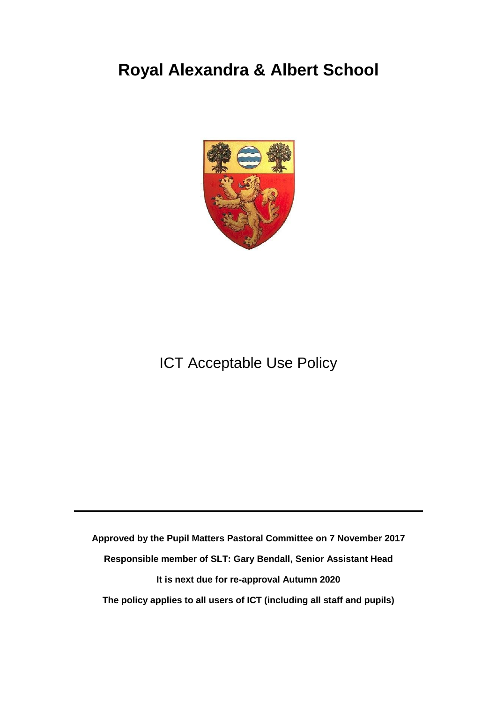## **Royal Alexandra & Albert School**



## ICT Acceptable Use Policy

**Approved by the Pupil Matters Pastoral Committee on 7 November 2017 Responsible member of SLT: Gary Bendall, Senior Assistant Head It is next due for re-approval Autumn 2020 The policy applies to all users of ICT (including all staff and pupils)**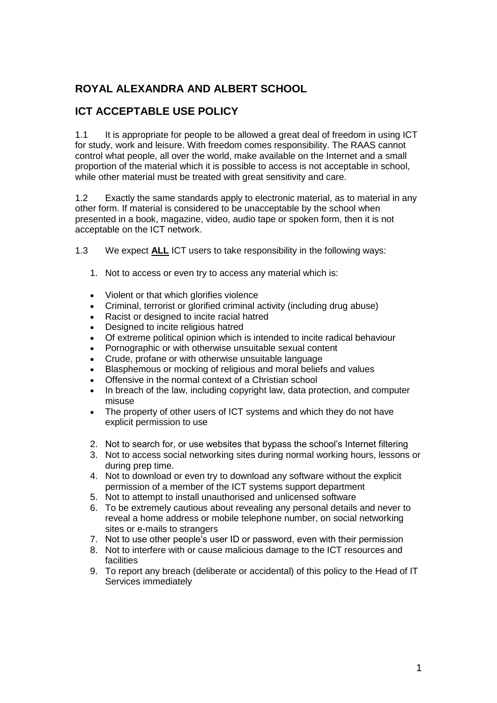## **ROYAL ALEXANDRA AND ALBERT SCHOOL**

## **ICT ACCEPTABLE USE POLICY**

1.1 It is appropriate for people to be allowed a great deal of freedom in using ICT for study, work and leisure. With freedom comes responsibility. The RAAS cannot control what people, all over the world, make available on the Internet and a small proportion of the material which it is possible to access is not acceptable in school, while other material must be treated with great sensitivity and care.

1.2 Exactly the same standards apply to electronic material, as to material in any other form. If material is considered to be unacceptable by the school when presented in a book, magazine, video, audio tape or spoken form, then it is not acceptable on the ICT network.

- 1.3 We expect **ALL** ICT users to take responsibility in the following ways:
	- 1. Not to access or even try to access any material which is:
	- Violent or that which glorifies violence
	- Criminal, terrorist or glorified criminal activity (including drug abuse)
	- Racist or designed to incite racial hatred
	- Designed to incite religious hatred
	- Of extreme political opinion which is intended to incite radical behaviour
	- Pornographic or with otherwise unsuitable sexual content
	- Crude, profane or with otherwise unsuitable language
	- Blasphemous or mocking of religious and moral beliefs and values
	- Offensive in the normal context of a Christian school
	- In breach of the law, including copyright law, data protection, and computer misuse
	- The property of other users of ICT systems and which they do not have explicit permission to use
	- 2. Not to search for, or use websites that bypass the school's Internet filtering
	- 3. Not to access social networking sites during normal working hours, lessons or during prep time.
	- 4. Not to download or even try to download any software without the explicit permission of a member of the ICT systems support department
	- 5. Not to attempt to install unauthorised and unlicensed software
	- 6. To be extremely cautious about revealing any personal details and never to reveal a home address or mobile telephone number, on social networking sites or e-mails to strangers
	- 7. Not to use other people's user ID or password, even with their permission
	- 8. Not to interfere with or cause malicious damage to the ICT resources and facilities
	- 9. To report any breach (deliberate or accidental) of this policy to the Head of IT Services immediately